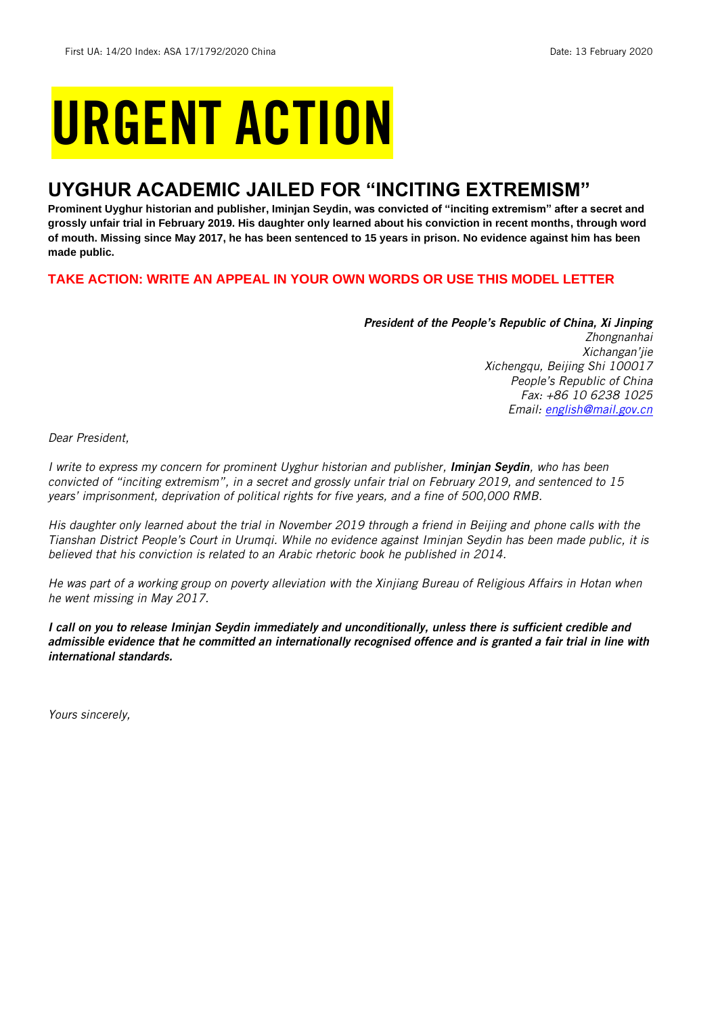# URGENT ACTION

## **UYGHUR ACADEMIC JAILED FOR "INCITING EXTREMISM"**

**Prominent Uyghur historian and publisher, Iminjan Seydin, was convicted of "inciting extremism" after a secret and grossly unfair trial in February 2019. His daughter only learned about his conviction in recent months, through word of mouth. Missing since May 2017, he has been sentenced to 15 years in prison. No evidence against him has been made public.**

## **TAKE ACTION: WRITE AN APPEAL IN YOUR OWN WORDS OR USE THIS MODEL LETTER**

*President of the People's Republic of China, Xi Jinping Zhongnanhai Xichangan'jie Xichengqu, Beijing Shi 100017 People's Republic of China Fax: +86 10 6238 1025 Email: [english@mail.gov.cn](mailto:english@mail.gov.cn)*

*Dear President,*

*I write to express my concern for prominent Uyghur historian and publisher, Iminjan Seydin, who has been convicted of "inciting extremism", in a secret and grossly unfair trial on February 2019, and sentenced to 15 years' imprisonment, deprivation of political rights for five years, and a fine of 500,000 RMB.*

*His daughter only learned about the trial in November 2019 through a friend in Beijing and phone calls with the Tianshan District People's Court in Urumqi. While no evidence against Iminjan Seydin has been made public, it is believed that his conviction is related to an Arabic rhetoric book he published in 2014.* 

*He was part of a working group on poverty alleviation with the Xinjiang Bureau of Religious Affairs in Hotan when he went missing in May 2017.*

*I call on you to release Iminjan Seydin immediately and unconditionally, unless there is sufficient credible and admissible evidence that he committed an internationally recognised offence and is granted a fair trial in line with international standards.* 

*Yours sincerely,*